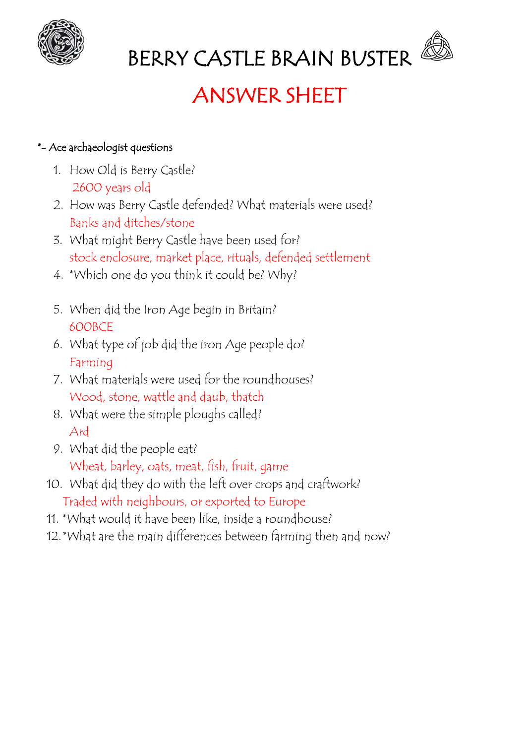

# BERRY CASTLE BRAIN BUSTER

# ANSWER SHEET

### \*- Ace archaeologist questions

- 1. How Old is Berry Castle? 2600 years old
- 2. How was Berry Castle defended? What materials were used? Banks and ditches/stone
- 3. What might Berry Castle have been used for? stock enclosure, market place, rituals, defended settlement
- 4. \*Which one do you think it could be? Why?
- 5. When did the Iron Age begin in Britain? 600BCE
- 6. What type of job did the iron Age people do? Farming
- 7. What materials were used for the roundhouses? Wood, stone, wattle and daub, thatch
- 8. What were the simple ploughs called? Ard
- 9. What did the people eat? Wheat, barley, oats, meat, fish, fruit, game
- 10. What did they do with the left over crops and craftwork? Traded with neighbours, or exported to Europe
- 11. \*What would it have been like, inside a roundhouse?
- 12.\*What are the main differences between farming then and now?